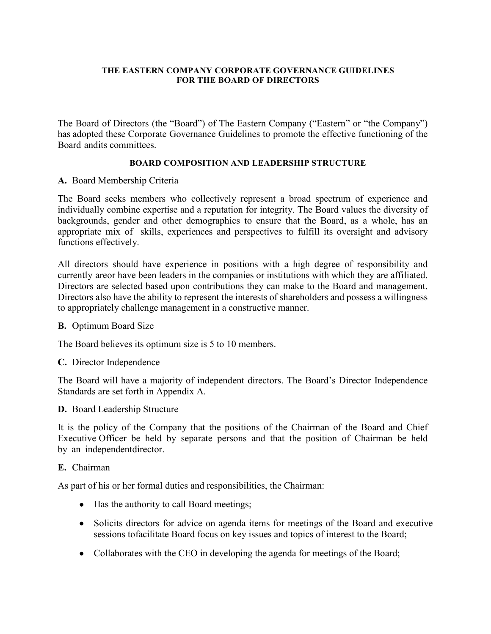### **THE EASTERN COMPANY CORPORATE GOVERNANCE GUIDELINES FOR THE BOARD OF DIRECTORS**

The Board of Directors (the "Board") of The Eastern Company ("Eastern" or "the Company") has adopted these Corporate Governance Guidelines to promote the effective functioning of the Board andits committees.

## **BOARD COMPOSITION AND LEADERSHIP STRUCTURE**

### **A.** Board Membership Criteria

The Board seeks members who collectively represent a broad spectrum of experience and individually combine expertise and a reputation for integrity. The Board values the diversity of backgrounds, gender and other demographics to ensure that the Board, as a whole, has an appropriate mix of skills, experiences and perspectives to fulfill its oversight and advisory functions effectively.

All directors should have experience in positions with a high degree of responsibility and currently areor have been leaders in the companies or institutions with which they are affiliated. Directors are selected based upon contributions they can make to the Board and management. Directors also have the ability to represent the interests of shareholders and possess a willingness to appropriately challenge management in a constructive manner.

#### **B.** Optimum Board Size

The Board believes its optimum size is 5 to 10 members.

#### **C.** Director Independence

The Board will have a majority of independent directors. The Board's Director Independence Standards are set forth in Appendix A.

## **D.** Board Leadership Structure

It is the policy of the Company that the positions of the Chairman of the Board and Chief Executive Officer be held by separate persons and that the position of Chairman be held by an independentdirector.

#### **E.** Chairman

As part of his or her formal duties and responsibilities, the Chairman:

- Has the authority to call Board meetings;
- Solicits directors for advice on agenda items for meetings of the Board and executive sessions tofacilitate Board focus on key issues and topics of interest to the Board;
- Collaborates with the CEO in developing the agenda for meetings of the Board;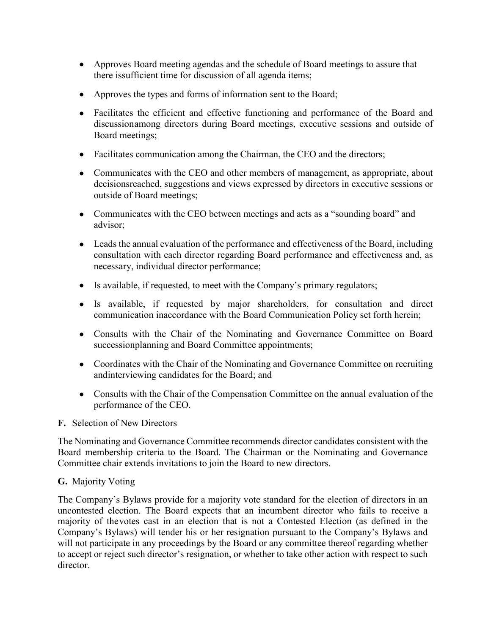- Approves Board meeting agendas and the schedule of Board meetings to assure that there issufficient time for discussion of all agenda items;
- Approves the types and forms of information sent to the Board;
- Facilitates the efficient and effective functioning and performance of the Board and discussionamong directors during Board meetings, executive sessions and outside of Board meetings;
- Facilitates communication among the Chairman, the CEO and the directors;
- Communicates with the CEO and other members of management, as appropriate, about decisionsreached, suggestions and views expressed by directors in executive sessions or outside of Board meetings;
- Communicates with the CEO between meetings and acts as a "sounding board" and advisor;
- Leads the annual evaluation of the performance and effectiveness of the Board, including consultation with each director regarding Board performance and effectiveness and, as necessary, individual director performance;
- Is available, if requested, to meet with the Company's primary regulators;
- Is available, if requested by major shareholders, for consultation and direct communication inaccordance with the Board Communication Policy set forth herein;
- Consults with the Chair of the Nominating and Governance Committee on Board successionplanning and Board Committee appointments;
- Coordinates with the Chair of the Nominating and Governance Committee on recruiting andinterviewing candidates for the Board; and
- Consults with the Chair of the Compensation Committee on the annual evaluation of the performance of the CEO.

# **F.** Selection of New Directors

The Nominating and Governance Committee recommends director candidates consistent with the Board membership criteria to the Board. The Chairman or the Nominating and Governance Committee chair extends invitations to join the Board to new directors.

# **G.** Majority Voting

The Company's Bylaws provide for a majority vote standard for the election of directors in an uncontested election. The Board expects that an incumbent director who fails to receive a majority of thevotes cast in an election that is not a Contested Election (as defined in the Company's Bylaws) will tender his or her resignation pursuant to the Company's Bylaws and will not participate in any proceedings by the Board or any committee thereof regarding whether to accept or reject such director's resignation, or whether to take other action with respect to such director.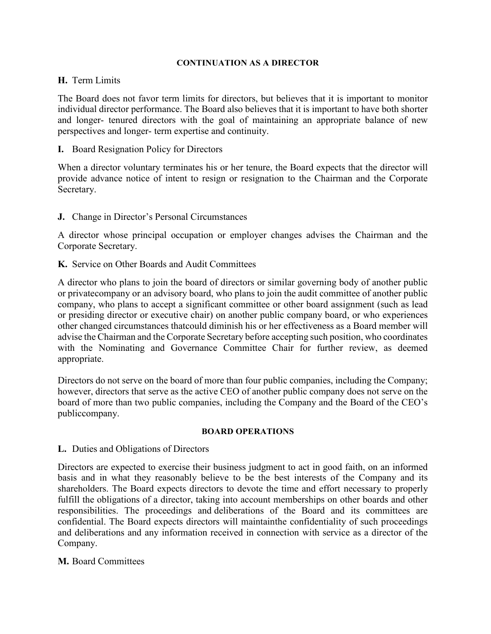### **CONTINUATION AS A DIRECTOR**

## **H.** Term Limits

The Board does not favor term limits for directors, but believes that it is important to monitor individual director performance. The Board also believes that it is important to have both shorter and longer- tenured directors with the goal of maintaining an appropriate balance of new perspectives and longer- term expertise and continuity.

**I.** Board Resignation Policy for Directors

When a director voluntary terminates his or her tenure, the Board expects that the director will provide advance notice of intent to resign or resignation to the Chairman and the Corporate Secretary.

**J.** Change in Director's Personal Circumstances

A director whose principal occupation or employer changes advises the Chairman and the Corporate Secretary.

**K.** Service on Other Boards and Audit Committees

A director who plans to join the board of directors or similar governing body of another public or privatecompany or an advisory board, who plans to join the audit committee of another public company, who plans to accept a significant committee or other board assignment (such as lead or presiding director or executive chair) on another public company board, or who experiences other changed circumstances thatcould diminish his or her effectiveness as a Board member will advise the Chairman and the Corporate Secretary before accepting such position, who coordinates with the Nominating and Governance Committee Chair for further review, as deemed appropriate.

Directors do not serve on the board of more than four public companies, including the Company; however, directors that serve as the active CEO of another public company does not serve on the board of more than two public companies, including the Company and the Board of the CEO's publiccompany.

#### **BOARD OPERATIONS**

## **L.** Duties and Obligations of Directors

Directors are expected to exercise their business judgment to act in good faith, on an informed basis and in what they reasonably believe to be the best interests of the Company and its shareholders. The Board expects directors to devote the time and effort necessary to properly fulfill the obligations of a director, taking into account memberships on other boards and other responsibilities. The proceedings and deliberations of the Board and its committees are confidential. The Board expects directors will maintainthe confidentiality of such proceedings and deliberations and any information received in connection with service as a director of the Company.

## **M.** Board Committees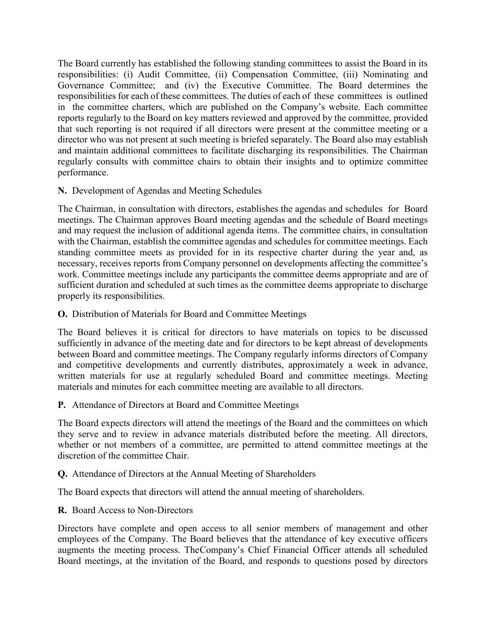The Board currently has established the following standing committees to assist the Board in its responsibilities: (i) Audit Committee, (ii) Compensation Committee, (iii) Nominating and Governance Committee; and (iv) the Executive Committee. The Board determines the responsibilities for each of these committees. The duties of each of these committees is outlined in the committee charters, which are published on the Company's website. Each committee reports regularly to the Board on key matters reviewed and approved by the committee, provided that such reporting is not required if all directors were present at the committee meeting or a director who was not present at such meeting is briefed separately. The Board also may establish and maintain additional committees to facilitate discharging its responsibilities. The Chairman regularly consults with committee chairs to obtain their insights and to optimize committee performance.

## **N.** Development of Agendas and Meeting Schedules

The Chairman, in consultation with directors, establishes the agendas and schedules for Board meetings. The Chairman approves Board meeting agendas and the schedule of Board meetings and may request the inclusion of additional agenda items. The committee chairs, in consultation with the Chairman, establish the committee agendas and schedules for committee meetings. Each standing committee meets as provided for in its respective charter during the year and, as necessary, receives reports from Company personnel on developments affecting the committee's work. Committee meetings include any participants the committee deems appropriate and are of sufficient duration and scheduled at such times as the committee deems appropriate to discharge properly its responsibilities.

## **O.** Distribution of Materials for Board and Committee Meetings

The Board believes it is critical for directors to have materials on topics to be discussed sufficiently in advance of the meeting date and for directors to be kept abreast of developments between Board and committee meetings. The Company regularly informs directors of Company and competitive developments and currently distributes, approximately a week in advance, written materials for use at regularly scheduled Board and committee meetings. Meeting materials and minutes for each committee meeting are available to all directors.

## **P.** Attendance of Directors at Board and Committee Meetings

The Board expects directors will attend the meetings of the Board and the committees on which they serve and to review in advance materials distributed before the meeting. All directors, whether or not members of a committee, are permitted to attend committee meetings at the discretion of the committee Chair.

# **Q.** Attendance of Directors at the Annual Meeting of Shareholders

The Board expects that directors will attend the annual meeting of shareholders.

## **R.** Board Access to Non-Directors

Directors have complete and open access to all senior members of management and other employees of the Company. The Board believes that the attendance of key executive officers augments the meeting process. TheCompany's Chief Financial Officer attends all scheduled Board meetings, at the invitation of the Board, and responds to questions posed by directors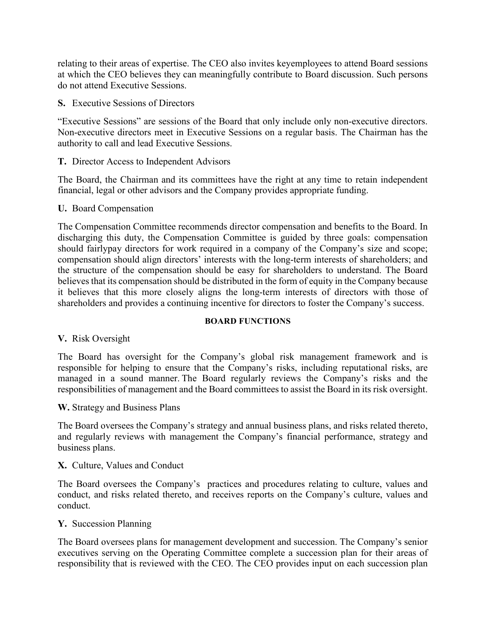relating to their areas of expertise. The CEO also invites keyemployees to attend Board sessions at which the CEO believes they can meaningfully contribute to Board discussion. Such persons do not attend Executive Sessions.

**S.** Executive Sessions of Directors

"Executive Sessions" are sessions of the Board that only include only non-executive directors. Non-executive directors meet in Executive Sessions on a regular basis. The Chairman has the authority to call and lead Executive Sessions.

**T.** Director Access to Independent Advisors

The Board, the Chairman and its committees have the right at any time to retain independent financial, legal or other advisors and the Company provides appropriate funding.

**U.** Board Compensation

The Compensation Committee recommends director compensation and benefits to the Board. In discharging this duty, the Compensation Committee is guided by three goals: compensation should fairlypay directors for work required in a company of the Company's size and scope; compensation should align directors' interests with the long-term interests of shareholders; and the structure of the compensation should be easy for shareholders to understand. The Board believes that its compensation should be distributed in the form of equity in the Company because it believes that this more closely aligns the long-term interests of directors with those of shareholders and provides a continuing incentive for directors to foster the Company's success.

#### **BOARD FUNCTIONS**

**V.** Risk Oversight

The Board has oversight for the Company's global risk management framework and is responsible for helping to ensure that the Company's risks, including reputational risks, are managed in a sound manner. The Board regularly reviews the Company's risks and the responsibilities of management and the Board committees to assist the Board in its risk oversight.

**W.** Strategy and Business Plans

The Board oversees the Company's strategy and annual business plans, and risks related thereto, and regularly reviews with management the Company's financial performance, strategy and business plans.

#### **X.** Culture, Values and Conduct

The Board oversees the Company's practices and procedures relating to culture, values and conduct, and risks related thereto, and receives reports on the Company's culture, values and conduct.

### **Y.** Succession Planning

The Board oversees plans for management development and succession. The Company's senior executives serving on the Operating Committee complete a succession plan for their areas of responsibility that is reviewed with the CEO. The CEO provides input on each succession plan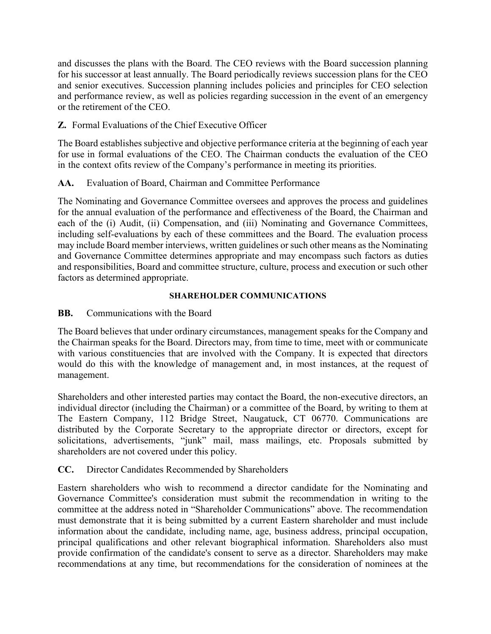and discusses the plans with the Board. The CEO reviews with the Board succession planning for his successor at least annually. The Board periodically reviews succession plans for the CEO and senior executives. Succession planning includes policies and principles for CEO selection and performance review, as well as policies regarding succession in the event of an emergency or the retirement of the CEO.

# **Z.** Formal Evaluations of the Chief Executive Officer

The Board establishes subjective and objective performance criteria at the beginning of each year for use in formal evaluations of the CEO. The Chairman conducts the evaluation of the CEO in the context ofits review of the Company's performance in meeting its priorities.

# **AA.** Evaluation of Board, Chairman and Committee Performance

The Nominating and Governance Committee oversees and approves the process and guidelines for the annual evaluation of the performance and effectiveness of the Board, the Chairman and each of the (i) Audit, (ii) Compensation, and (iii) Nominating and Governance Committees, including self-evaluations by each of these committees and the Board. The evaluation process may include Board member interviews, written guidelines or such other means as the Nominating and Governance Committee determines appropriate and may encompass such factors as duties and responsibilities, Board and committee structure, culture, process and execution or such other factors as determined appropriate.

## **SHAREHOLDER COMMUNICATIONS**

# **BB.** Communications with the Board

The Board believes that under ordinary circumstances, management speaks for the Company and the Chairman speaks for the Board. Directors may, from time to time, meet with or communicate with various constituencies that are involved with the Company. It is expected that directors would do this with the knowledge of management and, in most instances, at the request of management.

Shareholders and other interested parties may contact the Board, the non-executive directors, an individual director (including the Chairman) or a committee of the Board, by writing to them at The Eastern Company, 112 Bridge Street, Naugatuck, CT 06770. Communications are distributed by the Corporate Secretary to the appropriate director or directors, except for solicitations, advertisements, "junk" mail, mass mailings, etc. Proposals submitted by shareholders are not covered under this policy.

# **CC.** Director Candidates Recommended by Shareholders

Eastern shareholders who wish to recommend a director candidate for the Nominating and Governance Committee's consideration must submit the recommendation in writing to the committee at the address noted in "Shareholder Communications" above. The recommendation must demonstrate that it is being submitted by a current Eastern shareholder and must include information about the candidate, including name, age, business address, principal occupation, principal qualifications and other relevant biographical information. Shareholders also must provide confirmation of the candidate's consent to serve as a director. Shareholders may make recommendations at any time, but recommendations for the consideration of nominees at the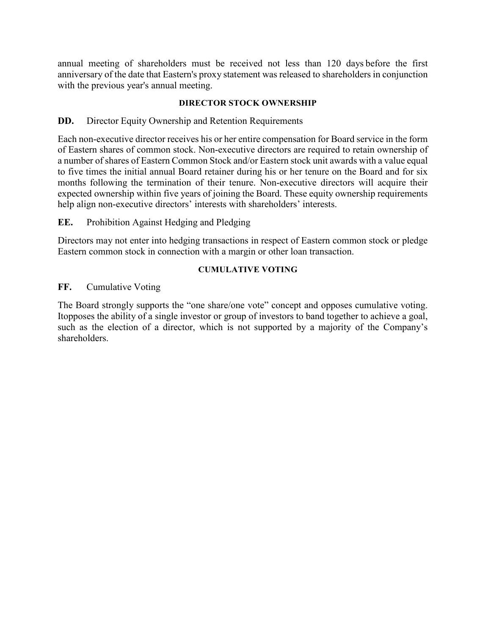annual meeting of shareholders must be received not less than 120 days before the first anniversary of the date that Eastern's proxy statement was released to shareholders in conjunction with the previous year's annual meeting.

## **DIRECTOR STOCK OWNERSHIP**

## **DD.** Director Equity Ownership and Retention Requirements

Each non-executive director receives his or her entire compensation for Board service in the form of Eastern shares of common stock. Non-executive directors are required to retain ownership of a number of shares of Eastern Common Stock and/or Eastern stock unit awards with a value equal to five times the initial annual Board retainer during his or her tenure on the Board and for six months following the termination of their tenure. Non-executive directors will acquire their expected ownership within five years of joining the Board. These equity ownership requirements help align non-executive directors' interests with shareholders' interests.

## **EE.** Prohibition Against Hedging and Pledging

Directors may not enter into hedging transactions in respect of Eastern common stock or pledge Eastern common stock in connection with a margin or other loan transaction.

### **CUMULATIVE VOTING**

## **FF.** Cumulative Voting

The Board strongly supports the "one share/one vote" concept and opposes cumulative voting. Itopposes the ability of a single investor or group of investors to band together to achieve a goal, such as the election of a director, which is not supported by a majority of the Company's shareholders.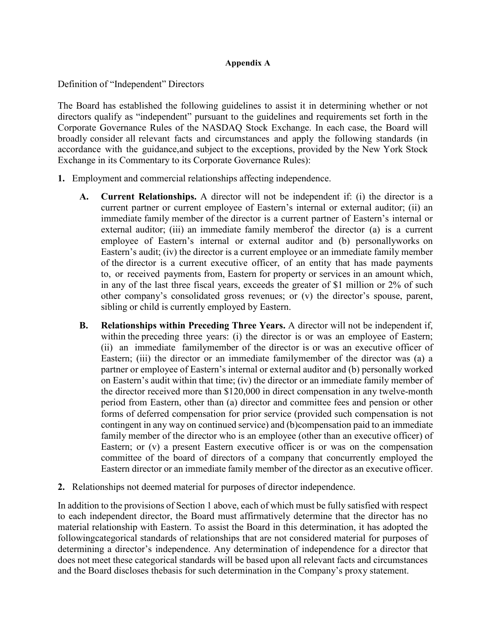### **Appendix A**

Definition of "Independent" Directors

The Board has established the following guidelines to assist it in determining whether or not directors qualify as "independent" pursuant to the guidelines and requirements set forth in the Corporate Governance Rules of the NASDAQ Stock Exchange. In each case, the Board will broadly consider all relevant facts and circumstances and apply the following standards (in accordance with the guidance,and subject to the exceptions, provided by the New York Stock Exchange in its Commentary to its Corporate Governance Rules):

- **1.** Employment and commercial relationships affecting independence.
	- **A. Current Relationships.** A director will not be independent if: (i) the director is a current partner or current employee of Eastern's internal or external auditor; (ii) an immediate family member of the director is a current partner of Eastern's internal or external auditor; (iii) an immediate family memberof the director (a) is a current employee of Eastern's internal or external auditor and (b) personallyworks on Eastern's audit; (iv) the director is a current employee or an immediate family member of the director is a current executive officer, of an entity that has made payments to, or received payments from, Eastern for property or services in an amount which, in any of the last three fiscal years, exceeds the greater of \$1 million or 2% of such other company's consolidated gross revenues; or (v) the director's spouse, parent, sibling or child is currently employed by Eastern.
	- **B. Relationships within Preceding Three Years.** A director will not be independent if, within the preceding three years: (i) the director is or was an employee of Eastern; (ii) an immediate familymember of the director is or was an executive officer of Eastern; (iii) the director or an immediate familymember of the director was (a) a partner or employee of Eastern's internal or external auditor and (b) personally worked on Eastern's audit within that time; (iv) the director or an immediate family member of the director received more than \$120,000 in direct compensation in any twelve-month period from Eastern, other than (a) director and committee fees and pension or other forms of deferred compensation for prior service (provided such compensation is not contingent in any way on continued service) and (b)compensation paid to an immediate family member of the director who is an employee (other than an executive officer) of Eastern; or (v) a present Eastern executive officer is or was on the compensation committee of the board of directors of a company that concurrently employed the Eastern director or an immediate family member of the director as an executive officer.
- **2.** Relationships not deemed material for purposes of director independence.

In addition to the provisions of Section 1 above, each of which must be fully satisfied with respect to each independent director, the Board must affirmatively determine that the director has no material relationship with Eastern. To assist the Board in this determination, it has adopted the followingcategorical standards of relationships that are not considered material for purposes of determining a director's independence. Any determination of independence for a director that does not meet these categorical standards will be based upon all relevant facts and circumstances and the Board discloses thebasis for such determination in the Company's proxy statement.